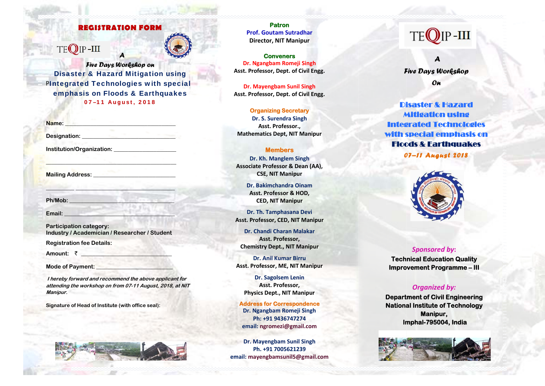# **REGISTRATION FORM**

# TEOIP-III



**Five Days Workshop on Disaster & Hazard Mitigation using PIntegrated Technologies with special** emphasis on Floods & Earthquakes 07-11 August, 2018

| Name:                     |  |  |
|---------------------------|--|--|
| Designation:              |  |  |
| Institution/Organization: |  |  |

**Mailing Address:** 

Ph/Mob:

Email:

**Participation category:** Industry / Academician / Researcher / Student

**Registration fee Details:** 

Amount: ₹

Mode of Payment:

I hereby forward and recommend the above applicant for attending the workshop on from 07-11 August, 2018, at NIT Manipur.

Signature of Head of Institute (with office seal):



**Patron Prof. Goutam Sutradhar Director, NIT Manipur** 

**Conveners** Dr. Ngangbam Romeji Singh Asst. Professor. Dept. of Civil Engg.

**Dr. Mayengbam Sunil Singh** Asst. Professor, Dept. of Civil Engg.

**Organizing Secretary** Dr. S. Surendra Singh Asst. Professor., **Mathematics Dept, NIT Manipur** 

## **Members**

Dr. Kh. Manglem Singh Associate Professor & Dean (AA), **CSE, NIT Manipur** 

> Dr. Bakimchandra Oinam Asst. Professor & HOD, **CED, NIT Manipur**

Dr. Th. Tamphasana Devi Asst. Professor, CED, NIT Manipur

Dr. Chandi Charan Malakar Asst. Professor. **Chemistry Dept., NIT Manipur** 

**Dr. Anil Kumar Birru** Asst. Professor, ME, NIT Manipur

Dr. Sagolsem Lenin Asst. Professor, **Physics Dept., NIT Manipur** 

**Address for Correspondence** Dr. Ngangbam Romeji Singh Ph: +91 9436747274 email: ngromezi@gmail.com

Dr. Mayengbam Sunil Singh Ph. +91 7005621239 email: mayengbamsunil5@gmail.com

# $IP$ -III

**Five Days Workshop** On

**Disaster & Hazard Mitigation using Integrated Technologies** with special emphasis on **Floods & Earthquakes** 07-11 Angust 2018



**Sponsored by: Technical Education Quality Improvement Programme-III** 

# **Organized by:**

**Department of Civil Engineering National Institute of Technology** Manipur. Imphal-795004, India